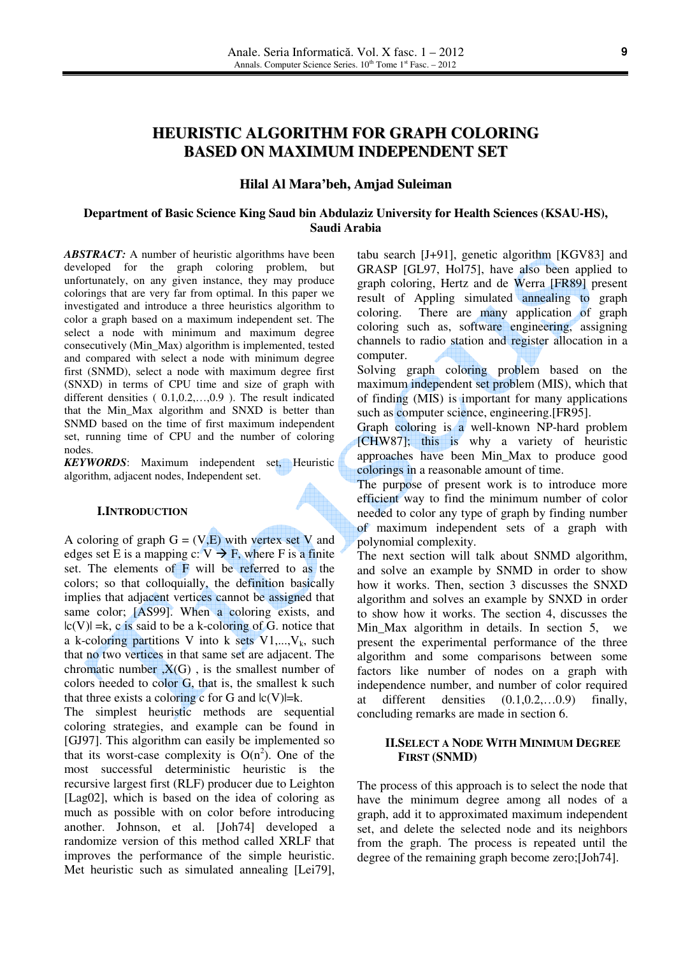# **HEURISTIC ALGORITHM FOR GRAPH COLORING BASED ON MAXIMUM INDEPENDENT SET**

### **Hilal Al Mara'beh, Amjad Suleiman**

### **Department of Basic Science King Saud bin Abdulaziz University for Health Sciences (KSAU-HS), Saudi Arabia**

*ABSTRACT:* A number of heuristic algorithms have been developed for the graph coloring problem, but unfortunately, on any given instance, they may produce colorings that are very far from optimal. In this paper we investigated and introduce a three heuristics algorithm to color a graph based on a maximum independent set. The select a node with minimum and maximum degree consecutively (Min\_Max) algorithm is implemented, tested and compared with select a node with minimum degree first (SNMD), select a node with maximum degree first (SNXD) in terms of CPU time and size of graph with different densities ( 0.1,0.2,…,0.9 ). The result indicated that the Min Max algorithm and SNXD is better than SNMD based on the time of first maximum independent set, running time of CPU and the number of coloring nodes.

*KEYWORDS*: Maximum independent set, Heuristic algorithm, adjacent nodes, Independent set.

#### **I.INTRODUCTION**

A coloring of graph  $G = (V,E)$  with vertex set V and edges set E is a mapping c:  $V \rightarrow F$ , where F is a finite set. The elements of F will be referred to as the colors; so that colloquially, the definition basically implies that adjacent vertices cannot be assigned that same color; [AS99]. When a coloring exists, and  $|c(V)| = k$ , c is said to be a k-coloring of G. notice that a k-coloring partitions V into k sets  $V1,...,V_k$ , such that no two vertices in that same set are adjacent. The chromatic number  $X(G)$ , is the smallest number of colors needed to color G, that is, the smallest k such that three exists a coloring c for G and  $|c(V)|=k$ .

The simplest heuristic methods are sequential coloring strategies, and example can be found in [GJ97]. This algorithm can easily be implemented so that its worst-case complexity is  $O(n^2)$ . One of the most successful deterministic heuristic is the recursive largest first (RLF) producer due to Leighton [Lag02], which is based on the idea of coloring as much as possible with on color before introducing another. Johnson, et al. [Joh74] developed a randomize version of this method called XRLF that improves the performance of the simple heuristic. Met heuristic such as simulated annealing [Lei79],

tabu search [J+91], genetic algorithm [KGV83] and GRASP [GL97, Hol75], have also been applied to graph coloring, Hertz and de Werra [FR89] present result of Appling simulated annealing to graph coloring. There are many application of graph coloring such as, software engineering, assigning channels to radio station and register allocation in a computer.

Solving graph coloring problem based on the maximum independent set problem (MIS), which that of finding (MIS) is important for many applications such as computer science, engineering.[FR95].

Graph coloring is a well-known NP-hard problem [CHW87]; this is why a variety of heuristic approaches have been Min\_Max to produce good colorings in a reasonable amount of time.

The purpose of present work is to introduce more efficient way to find the minimum number of color needed to color any type of graph by finding number of maximum independent sets of a graph with polynomial complexity.

The next section will talk about SNMD algorithm, and solve an example by SNMD in order to show how it works. Then, section 3 discusses the SNXD algorithm and solves an example by SNXD in order to show how it works. The section 4, discusses the Min Max algorithm in details. In section 5, we present the experimental performance of the three algorithm and some comparisons between some factors like number of nodes on a graph with independence number, and number of color required different densities  $(0.1, 0.2, \ldots, 0.9)$  finally, concluding remarks are made in section 6.

### **II.SELECT A NODE WITH MINIMUM DEGREE FIRST (SNMD)**

The process of this approach is to select the node that have the minimum degree among all nodes of a graph, add it to approximated maximum independent set, and delete the selected node and its neighbors from the graph. The process is repeated until the degree of the remaining graph become zero;[Joh74].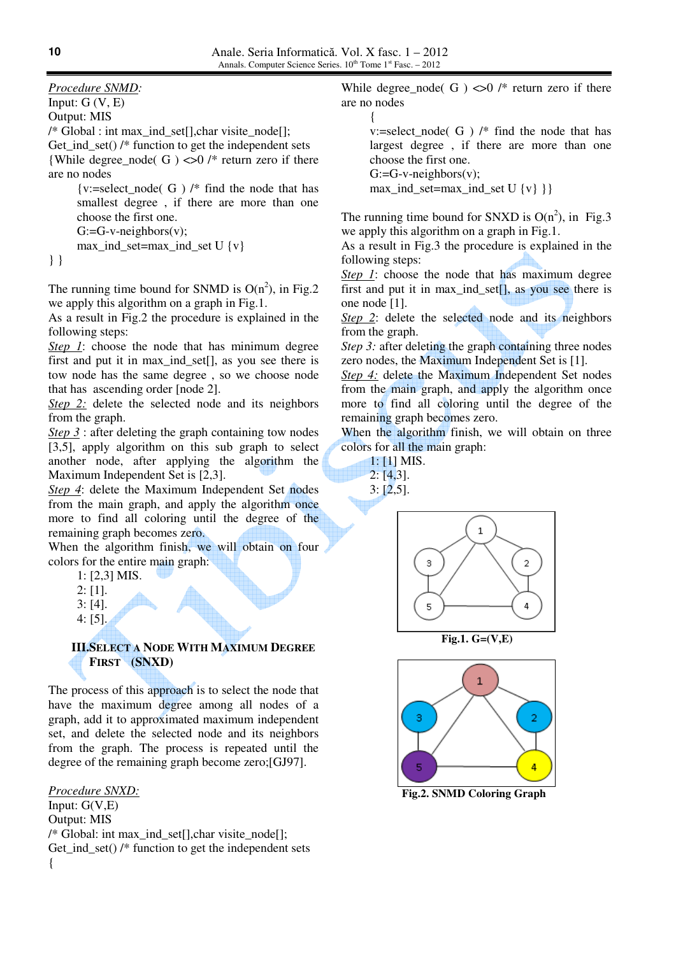*Procedure SNMD:* 

Input:  $G (V, E)$ 

Output: MIS

/\* Global : int max ind set[], char visite node[]; Get ind set()  $/*$  function to get the independent sets {While degree\_node( G )  $\langle$  >  $\rangle$  /\* return zero if there are no nodes

> ${v:} = select node(G)$  /\* find the node that has smallest degree , if there are more than one choose the first one.  $G:=G-v-neighbors(v);$

max ind set=max ind set  $U \{v\}$ 

} }

The running time bound for SNMD is  $O(n^2)$ , in Fig.2 we apply this algorithm on a graph in Fig.1.

As a result in Fig.2 the procedure is explained in the following steps:

*Step 1*: choose the node that has minimum degree first and put it in max\_ind\_set[], as you see there is tow node has the same degree , so we choose node that has ascending order [node 2].

*Step 2:* delete the selected node and its neighbors from the graph.

*Step 3* : after deleting the graph containing tow nodes [3,5], apply algorithm on this sub graph to select another node, after applying the algorithm the Maximum Independent Set is [2,3].

*Step 4*: delete the Maximum Independent Set nodes from the main graph, and apply the algorithm once more to find all coloring until the degree of the remaining graph becomes zero.

When the algorithm finish, we will obtain on four colors for the entire main graph:

- 1: [2,3] MIS. 2: [1]. 3: [4].
- 

4: [5].

# **III.SELECT A NODE WITH MAXIMUM DEGREE FIRST (SNXD)**

The process of this approach is to select the node that have the maximum degree among all nodes of a graph, add it to approximated maximum independent set, and delete the selected node and its neighbors from the graph. The process is repeated until the degree of the remaining graph become zero;[GJ97].

*Procedure SNXD:*

Input:  $G(V,E)$ Output: MIS /\* Global: int max\_ind\_set[],char visite\_node[]; Get ind set()  $/*$  function to get the independent sets {

While degree\_node( $G$ ) <>0 /\* return zero if there are no nodes

{

v:=select\_node( $G$ ) /\* find the node that has largest degree , if there are more than one choose the first one.  $G:=G-v\text{-neighbors}(v);$ max ind set=max ind set U  $\{v\}$  }}

The running time bound for SNXD is  $O(n^2)$ , in Fig.3 we apply this algorithm on a graph in Fig.1.

As a result in Fig.3 the procedure is explained in the following steps:

*Step 1*: choose the node that has maximum degree first and put it in max\_ind\_set $[$ ], as you see there is one node [1].

*Step 2*: delete the selected node and its neighbors from the graph.

*Step 3:* after deleting the graph containing three nodes zero nodes, the Maximum Independent Set is [1].

*Step 4:* delete the Maximum Independent Set nodes from the main graph, and apply the algorithm once more to find all coloring until the degree of the remaining graph becomes zero.

When the algorithm finish, we will obtain on three colors for all the main graph:

1: [1] MIS.

 $2: [4,3]$ . 3: [2,5].



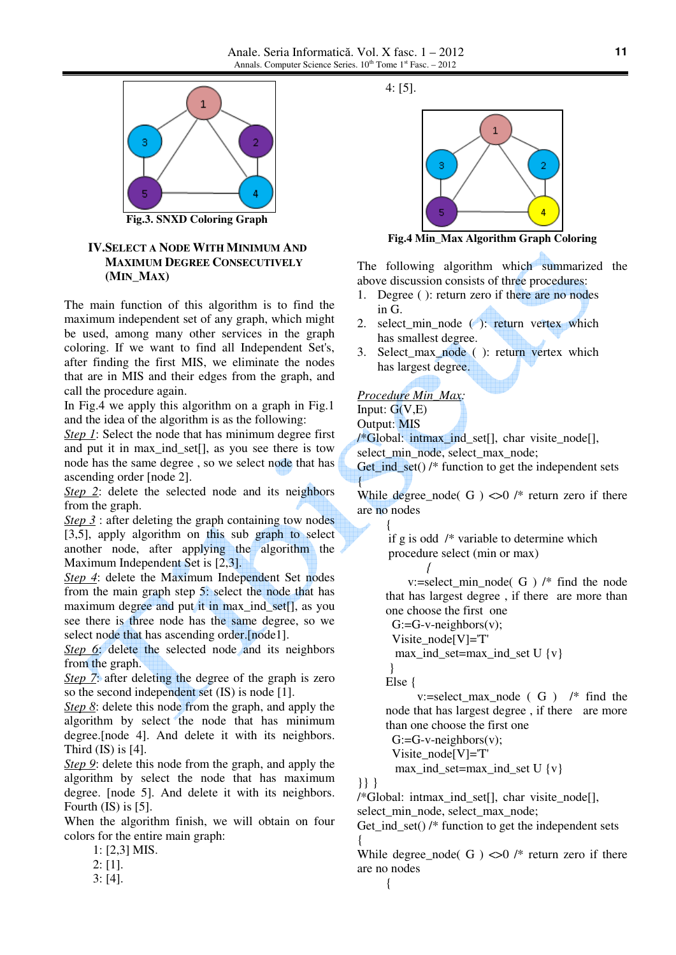

## **IV.SELECT A NODE WITH MINIMUM AND MAXIMUM DEGREE CONSECUTIVELY (MIN\_MAX)**

The main function of this algorithm is to find the maximum independent set of any graph, which might be used, among many other services in the graph coloring. If we want to find all Independent Set's, after finding the first MIS, we eliminate the nodes that are in MIS and their edges from the graph, and call the procedure again.

In Fig.4 we apply this algorithm on a graph in Fig.1 and the idea of the algorithm is as the following:

*Step 1*: Select the node that has minimum degree first and put it in max\_ind\_set[], as you see there is tow node has the same degree , so we select node that has ascending order [node 2].

*Step 2*: delete the selected node and its neighbors from the graph.

*Step 3* : after deleting the graph containing tow nodes [3,5], apply algorithm on this sub graph to select another node, after applying the algorithm the Maximum Independent Set is [2,3].

*Step 4*: delete the Maximum Independent Set nodes from the main graph step 5: select the node that has maximum degree and put it in max ind set[], as you see there is three node has the same degree, so we select node that has ascending order.[node1].

*Step 6*: delete the selected node and its neighbors from the graph.

*Step 7*: after deleting the degree of the graph is zero so the second independent set (IS) is node [1].

*Step 8*: delete this node from the graph, and apply the algorithm by select the node that has minimum degree.[node 4]. And delete it with its neighbors. Third  $(IS)$  is  $[4]$ .

*Step 9*: delete this node from the graph, and apply the algorithm by select the node that has maximum degree. [node 5]. And delete it with its neighbors. Fourth (IS) is [5].

When the algorithm finish, we will obtain on four colors for the entire main graph:

1: [2,3] MIS.

- 2: [1].
- 3: [4].

4: [5].



**Fig.4 Min\_Max Algorithm Graph Coloring**

The following algorithm which summarized the above discussion consists of three procedures:

- 1. Degree ( ): return zero if there are no nodes in G.
- 2. select\_min\_node ( ): return vertex which has smallest degree.
- 3. Select\_max\_node ( ): return vertex which has largest degree.

*Procedure Min\_Max:*  Input:  $G(V,E)$ 

Output: MIS

/\*Global: intmax\_ind\_set[], char visite\_node[], select\_min\_node, select\_max\_node;

Get ind set()  $\frac{1}{x}$  function to get the independent sets

{ While degree\_node( G )  $\ll 0$  /\* return zero if there are no nodes

> { if g is odd /\* variable to determine which procedure select (min or max)

 *{* 

v:=select min node( G ) /\* find the node that has largest degree , if there are more than one choose the first one

 $G:=G-v-neighbors(v);$ 

Visite\_node[V]='T'

 $max\_ind\_set=max\_ind\_set$  U {v}

 } Else {

v:=select max node ( G ) /\* find the node that has largest degree , if there are more than one choose the first one

 $G:=G-v-neighbors(v);$ 

Visite\_node[V]='T'

max ind set=max ind set U  $\{v\}$ 

}} }

{

/\*Global: intmax\_ind\_set[], char visite\_node[],

select\_min\_node, select\_max\_node;

Get ind set()  $/*$  function to get the independent sets {

While degree node( G )  $\langle 0 \rangle$  /\* return zero if there are no nodes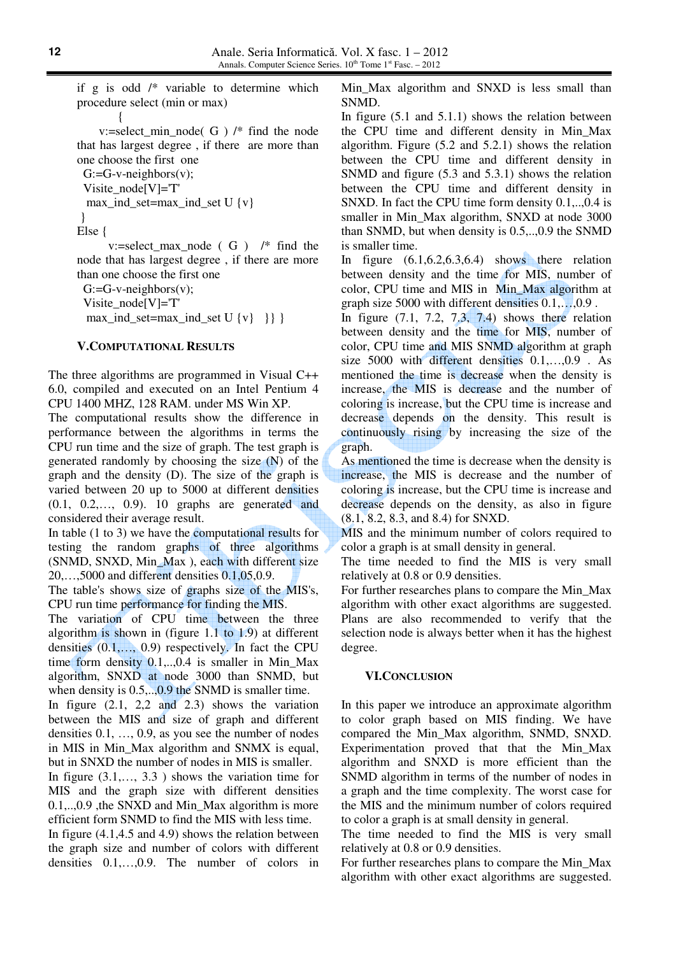if g is odd /\* variable to determine which procedure select (min or max)

 $\{$ v:=select\_min\_node( $G$ ) /\* find the node that has largest degree , if there are more than one choose the first one

 $G:=G-v-neighbors(v);$  Visite\_node[V]='T' max ind set=max ind set U  $\{v\}$ }

Else {

v:=select\_max\_node  $(G)$  /\* find the node that has largest degree , if there are more than one choose the first one

 $G:=G-v\text{-neighbors}(v);$  Visite\_node[V]='T'  $max\_ind\_set=max\_ind\_set \cup \{v\} \}$ 

### **V.COMPUTATIONAL RESULTS**

The three algorithms are programmed in Visual C++ 6.0, compiled and executed on an Intel Pentium 4 CPU 1400 MHZ, 128 RAM. under MS Win XP.

The computational results show the difference in performance between the algorithms in terms the CPU run time and the size of graph. The test graph is generated randomly by choosing the size (N) of the graph and the density (D). The size of the graph is varied between 20 up to 5000 at different densities (0.1, 0.2,…, 0.9). 10 graphs are generated and considered their average result.

In table (1 to 3) we have the computational results for testing the random graphs of three algorithms (SNMD, SNXD, Min\_Max ), each with different size 20,…,5000 and different densities 0.1,05,0.9.

The table's shows size of graphs size of the MIS's, CPU run time performance for finding the MIS.

The variation of CPU time between the three algorithm is shown in (figure 1.1 to 1.9) at different densities  $(0.1,..., 0.9)$  respectively. In fact the CPU time form density 0.1,..,0.4 is smaller in Min\_Max algorithm, SNXD at node 3000 than SNMD, but when density is  $0.5$ ..., 0.9 the SNMD is smaller time.

In figure  $(2.1, 2.2, and 2.3)$  shows the variation between the MIS and size of graph and different densities 0.1, …, 0.9, as you see the number of nodes in MIS in Min Max algorithm and SNMX is equal. but in SNXD the number of nodes in MIS is smaller.

In figure (3.1,…, 3.3 ) shows the variation time for MIS and the graph size with different densities 0.1,..,0.9 the SNXD and Min\_Max algorithm is more efficient form SNMD to find the MIS with less time.

In figure (4.1,4.5 and 4.9) shows the relation between the graph size and number of colors with different densities 0.1,…,0.9. The number of colors in Min\_Max algorithm and SNXD is less small than SNMD.

In figure (5.1 and 5.1.1) shows the relation between the CPU time and different density in Min\_Max algorithm. Figure (5.2 and 5.2.1) shows the relation between the CPU time and different density in SNMD and figure (5.3 and 5.3.1) shows the relation between the CPU time and different density in SNXD. In fact the CPU time form density 0.1,..,0.4 is smaller in Min\_Max algorithm, SNXD at node 3000 than SNMD, but when density is 0.5,..,0.9 the SNMD is smaller time.

In figure  $(6.1, 6.2, 6.3, 6.4)$  shows there relation between density and the time for MIS, number of color, CPU time and MIS in Min\_Max algorithm at graph size 5000 with different densities 0.1,…,0.9 .

In figure  $(7.1, 7.2, 7.3, 7.4)$  shows there relation between density and the time for MIS, number of color, CPU time and MIS SNMD algorithm at graph size 5000 with different densities 0.1,…,0.9 . As mentioned the time is decrease when the density is increase, the MIS is decrease and the number of coloring is increase, but the CPU time is increase and decrease depends on the density. This result is continuously rising by increasing the size of the graph.

As mentioned the time is decrease when the density is increase, the MIS is decrease and the number of coloring is increase, but the CPU time is increase and decrease depends on the density, as also in figure (8.1, 8.2, 8.3, and 8.4) for SNXD.

MIS and the minimum number of colors required to color a graph is at small density in general.

The time needed to find the MIS is very small relatively at 0.8 or 0.9 densities.

For further researches plans to compare the Min\_Max algorithm with other exact algorithms are suggested. Plans are also recommended to verify that the selection node is always better when it has the highest degree.

#### **VI.CONCLUSION**

In this paper we introduce an approximate algorithm to color graph based on MIS finding. We have compared the Min\_Max algorithm, SNMD, SNXD. Experimentation proved that that the Min\_Max algorithm and SNXD is more efficient than the SNMD algorithm in terms of the number of nodes in a graph and the time complexity. The worst case for the MIS and the minimum number of colors required to color a graph is at small density in general.

The time needed to find the MIS is very small relatively at 0.8 or 0.9 densities.

For further researches plans to compare the Min\_Max algorithm with other exact algorithms are suggested.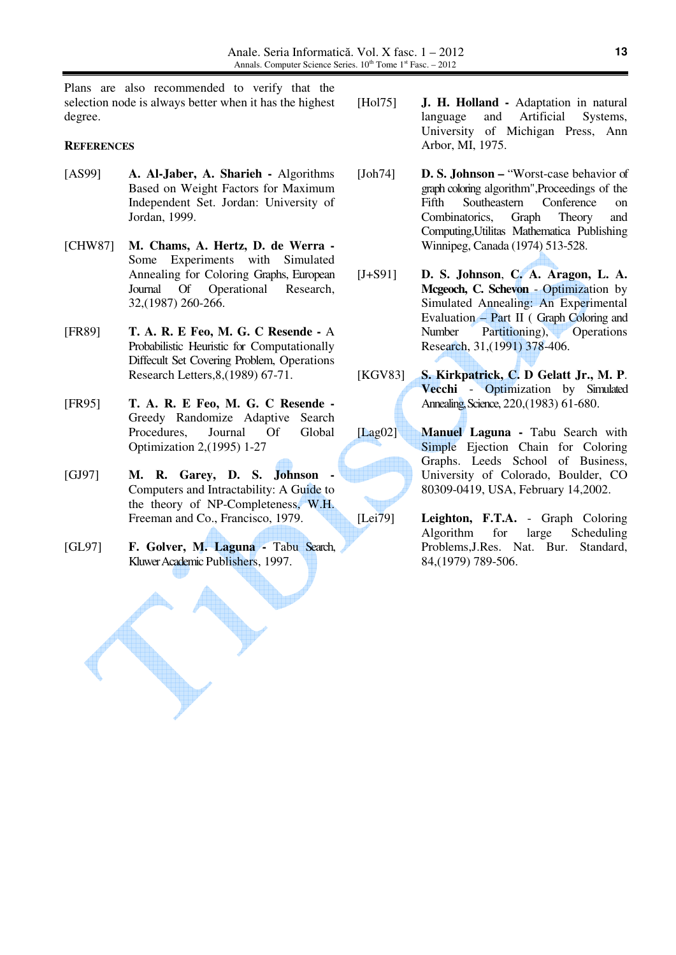Plans are also recommended to verify that the selection node is always better when it has the highest degree.

### **REFERENCES**

- [AS99] **A. Al-Jaber, A. Sharieh** Algorithms Based on Weight Factors for Maximum Independent Set. Jordan: University of Jordan, 1999.
- [CHW87] **M. Chams, A. Hertz, D. de Werra**  Some Experiments with Simulated Annealing for Coloring Graphs, European Journal Of Operational Research, 32,(1987) 260-266.
- [FR89] **T. A. R. E Feo, M. G. C Resende** A Probabilistic Heuristic for Computationally Diffecult Set Covering Problem, Operations Research Letters,8,(1989) 67-71.
- [FR95] **T. A. R. E Feo, M. G. C Resende**  Greedy Randomize Adaptive Search Procedures, Journal Of Global Optimization 2,(1995) 1-27
- [GJ97] **M. R. Garey, D. S. Johnson**  Computers and Intractability: A Guide to the theory of NP-Completeness, W.H. Freeman and Co., Francisco, 1979.
- [GL97] **F. Golver, M. Laguna** Tabu Search, Kluwer Academic Publishers, 1997.
- [Hol75] **J. H. Holland** Adaptation in natural language and Artificial Systems, University of Michigan Press, Ann Arbor, MI, 1975.
- [Joh74] **D. S. Johnson** "Worst-case behavior of graph coloring algorithm",Proceedings of the Fifth Southeastern Conference on Combinatorics, Graph Theory and Computing,Utilitas Mathematica Publishing Winnipeg, Canada (1974) 513-528.
- [J+S91] **D. S. Johnson**, **C. A. Aragon, L. A. Mcgeoch, C. Schevon** - Optimization by Simulated Annealing: An Experimental Evaluation – Part II ( Graph Coloring and Number Partitioning), Operations Research, 31,(1991) 378-406.
- [KGV83] **S. Kirkpatrick, C. D Gelatt Jr., M. P**. **Vecchi** - Optimization by Simulated Annealing, Science, 220,(1983) 61-680.
- [Lag02] **Manuel Laguna** Tabu Search with Simple Ejection Chain for Coloring Graphs. Leeds School of Business, University of Colorado, Boulder, CO 80309-0419, USA, February 14,2002.
- [Lei79] **Leighton, F.T.A.** Graph Coloring Algorithm for large Scheduling Problems,J.Res. Nat. Bur. Standard, 84,(1979) 789-506.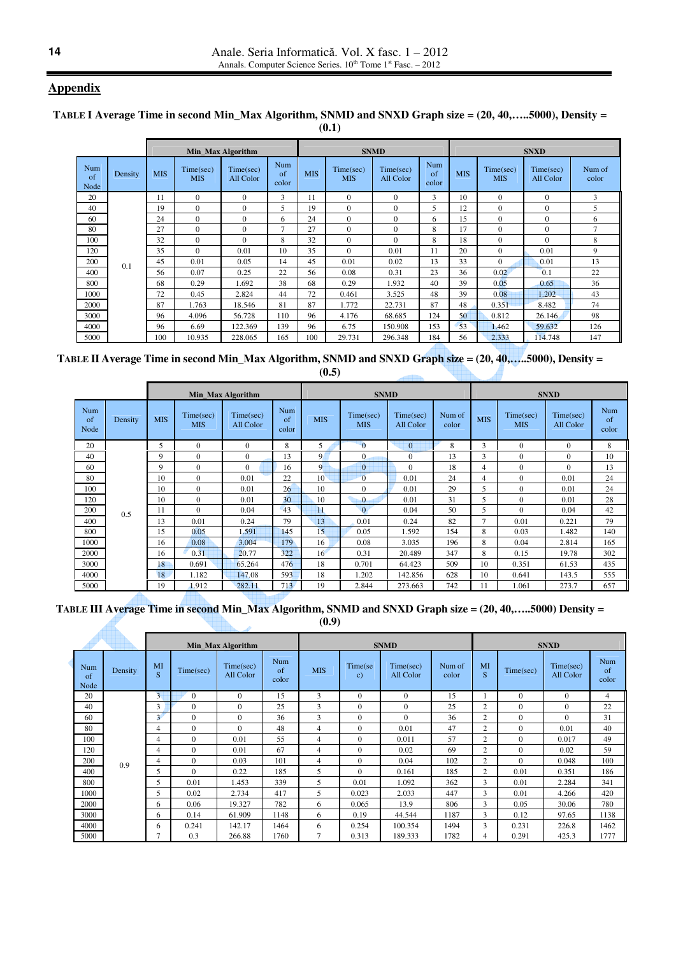## **Appendix**

### TABLE I Average Time in second Min\_Max Algorithm, SNMD and SNXD Graph size = (20, 40,.....5000), Density = **(0.1)**

|                   | <b>Min Max Algorithm</b> |            |                         |                        |                    |            |                         | <b>SNMD</b>            |                            | <b>SNXD</b> |                         |                        |                 |  |  |
|-------------------|--------------------------|------------|-------------------------|------------------------|--------------------|------------|-------------------------|------------------------|----------------------------|-------------|-------------------------|------------------------|-----------------|--|--|
| Num<br>of<br>Node | Density                  | <b>MIS</b> | Time(sec)<br><b>MIS</b> | Time(sec)<br>All Color | Num<br>of<br>color | <b>MIS</b> | Time(sec)<br><b>MIS</b> | Time(sec)<br>All Color | Num<br>$\alpha$ f<br>color | <b>MIS</b>  | Time(sec)<br><b>MIS</b> | Time(sec)<br>All Color | Num of<br>color |  |  |
| 20                |                          | 11         | $\Omega$                | $\Omega$               | 3                  | 11         | $\Omega$                | $\Omega$               | 3                          | 10          | $\Omega$                | $\Omega$               | 3               |  |  |
| 40                |                          | 19         | $\mathbf{0}$            | $\Omega$               | 5                  | 19         | $\mathbf{0}$            | $\mathbf{0}$           | 5                          | 12          | $\overline{0}$          | $\mathbf{0}$           | 5               |  |  |
| 60                |                          | 24         | $\mathbf{0}$            | $\Omega$               | 6                  | 24         | $\mathbf{0}$            | $\Omega$               | 6                          | 15          | $\overline{0}$          | $\mathbf{0}$           | 6               |  |  |
| 80                |                          | 27         | $\mathbf{0}$            | $\Omega$               | π                  | 27         | $\mathbf{0}$            | $\Omega$               | 8                          | 17          | $\Omega$                | $\Omega$               | 7               |  |  |
| 100               |                          | 32         | $\Omega$                | $\Omega$               | 8                  | 32         | $\Omega$                | $\Omega$               | 8                          | 18          | $\Omega$                | $\Omega$               | 8               |  |  |
| 120               |                          | 35         | $\Omega$                | 0.01                   | 10                 | 35         | $\Omega$                | 0.01                   | 11                         | 20          | $\Omega$                | 0.01                   | 9               |  |  |
| 200               | 0.1                      | 45         | 0.01                    | 0.05                   | 14                 | 45         | 0.01                    | 0.02                   | 13                         | 33          | $\Omega$                | 0.01                   | 13              |  |  |
| 400               |                          | 56         | 0.07                    | 0.25                   | 22                 | 56         | 0.08                    | 0.31                   | 23                         | 36          | 0.02                    | 0.1                    | 22              |  |  |
| 800               |                          | 68         | 0.29                    | 1.692                  | 38                 | 68         | 0.29                    | 1.932                  | 40                         | 39          | 0.05                    | 0.65                   | 36              |  |  |
| 1000              |                          | 72         | 0.45                    | 2.824                  | 44                 | 72         | 0.461                   | 3.525                  | 48                         | 39          | 0.08                    | 1.202                  | 43              |  |  |
| 2000              |                          | 87         | 1.763                   | 18.546                 | 81                 | 87         | 1.772                   | 22.731                 | 87                         | 48          | 0.351                   | 8.482                  | 74              |  |  |
| 3000              |                          | 96         | 4.096                   | 56.728                 | 110                | 96         | 4.176                   | 68.685                 | 124                        | 50          | 0.812                   | 26.146                 | 98              |  |  |
| 4000              |                          | 96         | 6.69                    | 122.369                | 139                | 96         | 6.75                    | 150.908                | 153                        | 53          | 1.462                   | 59.632                 | 126             |  |  |
| 5000              |                          | 100        | 10.935                  | 228.065                | 165                | 100        | 29.731                  | 296.348                | 184                        | 56          | 2.333                   | 114.748                | 147             |  |  |

TABLE **II** Average Time in second Min\_Max Algorithm, SNMD and SNXD Graph size = (20, 40,…..5000), Density = **(0.5)**  $\sim$ 

|                           |         |             |                         | Min Max Algorithm      |                            | <b>SNMD</b>  |                         |                        |                 |                          | <b>SNXD</b>             |                        |                            |  |  |
|---------------------------|---------|-------------|-------------------------|------------------------|----------------------------|--------------|-------------------------|------------------------|-----------------|--------------------------|-------------------------|------------------------|----------------------------|--|--|
| Num<br>$\alpha$ f<br>Node | Density | <b>MIS</b>  | Time(sec)<br><b>MIS</b> | Time(sec)<br>All Color | Num<br>$\alpha$ f<br>color | <b>MIS</b>   | Time(sec)<br><b>MIS</b> | Time(sec)<br>All Color | Num of<br>color | <b>MIS</b>               | Time(sec)<br><b>MIS</b> | Time(sec)<br>All Color | Num<br>$\alpha$ f<br>color |  |  |
| 20                        |         | 5           | $\Omega$                | $\Omega$               | 8                          | 5            | $\theta$                | $\Omega$               | 8               | 3                        | $\Omega$                | $\Omega$               | 8                          |  |  |
| 40                        |         | 9           | $\Omega$                | $\Omega$               | 13                         | 9            | $\Omega$                | $\theta$               | 13              | $\mathbf{3}$             | $\Omega$                | $\Omega$               | 10                         |  |  |
| 60                        |         | $\mathbf Q$ | $\Omega$                | $\Omega$               | 16                         | $\mathbf{Q}$ | $\Omega$                | $\theta$               | 18              | 4                        | $\Omega$                | $\Omega$               | 13                         |  |  |
| 80                        |         | 10          | $\Omega$                | 0.01                   | 22                         | 10           | $\overline{0}$          | 0.01                   | 24              | 4                        | $\Omega$                | 0.01                   | 24                         |  |  |
| 100                       |         | 10          | $\Omega$                | 0.01                   | 26                         | 10           | $\Omega$                | 0.01                   | 29              | $\overline{\phantom{0}}$ | $\Omega$                | 0.01                   | 24                         |  |  |
| 120                       |         | 10          | $\Omega$                | 0.01                   | 30                         | 10           | $\Omega$                | 0.01                   | 31              | 5                        | $\Omega$                | 0.01                   | 28                         |  |  |
| 200                       | 0.5     | 11          | $\Omega$                | 0.04                   | 43                         | 11           | $\Omega$                | 0.04                   | 50              | $\overline{\phantom{0}}$ | $\Omega$                | 0.04                   | 42                         |  |  |
| 400                       |         | 13          | 0.01                    | 0.24                   | 79                         | 13           | 0.01                    | 0.24                   | 82              | $\overline{ }$           | 0.01                    | 0.221                  | 79                         |  |  |
| 800                       |         | 15          | 0.05                    | 1.591                  | 145                        | 15           | 0.05                    | 1.592                  | 154             | 8                        | 0.03                    | 1.482                  | 140                        |  |  |
| 1000                      |         | 16          | 0.08                    | 3.004                  | 179                        | 16           | 0.08                    | 3.035                  | 196             | 8                        | 0.04                    | 2.814                  | 165                        |  |  |
| 2000                      |         | 16          | 0.31                    | 20.77                  | 322                        | 16           | 0.31                    | 20.489                 | 347             | 8                        | 0.15                    | 19.78                  | 302                        |  |  |
| 3000                      |         | 18          | 0.691                   | 65.264                 | 476                        | 18           | 0.701                   | 64.423                 | 509             | 10                       | 0.351                   | 61.53                  | 435                        |  |  |
| 4000                      |         | 18          | 1.182                   | 147.08                 | 593                        | 18           | 1.202                   | 142.856                | 628             | 10                       | 0.641                   | 143.5                  | 555                        |  |  |
| 5000                      |         | 19          | 1.912                   | 282.11                 | 713                        | 19           | 2.844                   | 273.663                | 742             | 11                       | 1.061                   | 273.7                  | 657                        |  |  |

TABLE **III Average Time in second Min\_Max Algorithm, SNMD and SNXD Graph size = (20, 40,.....5000) Density =** 

**(0.9)** 

|                   |         |                |              | Min Max Algorithm      |                    | <b>SNMD</b>    |                         |                        |                 |                | <b>SNXD</b>  |                        |                    |  |  |
|-------------------|---------|----------------|--------------|------------------------|--------------------|----------------|-------------------------|------------------------|-----------------|----------------|--------------|------------------------|--------------------|--|--|
| Num<br>of<br>Node | Density | MI<br>S        | Time(sec)    | Time(sec)<br>All Color | Num<br>of<br>color | <b>MIS</b>     | Time(se<br>$\mathbf{c}$ | Time(sec)<br>All Color | Num of<br>color | MI<br>S.       | Time(sec)    | Time(sec)<br>All Color | Num<br>of<br>color |  |  |
| 20                |         | $\overline{3}$ | $\Omega$     | $\mathbf{0}$           | 15                 | 3              | $\mathbf{0}$            | $\overline{0}$         | 15              |                | $\mathbf{0}$ | $\theta$               | 4                  |  |  |
| 40                |         | 3              | $\mathbf{0}$ | $\mathbf{0}$           | 25                 | 3              | $\mathbf{0}$            | $\mathbf{0}$           | 25              | $\overline{c}$ | $\mathbf{0}$ | $\overline{0}$         | 22                 |  |  |
| 60                |         | $\mathbf{3}$   | $\Omega$     | $\theta$               | 36                 | 3              | $\Omega$                | $\Omega$               | 36              | 2              | $\Omega$     | $\Omega$               | 31                 |  |  |
| 80                |         | 4              | $\Omega$     | $\theta$               | 48                 | $\overline{4}$ | $\mathbf{0}$            | 0.01                   | 47              | $\overline{c}$ | $\mathbf{0}$ | 0.01                   | 40                 |  |  |
| 100               |         | 4              | $\Omega$     | 0.01                   | 55                 | 4              | $\Omega$                | 0.011                  | 57              | 2              | $\Omega$     | 0.017                  | 49                 |  |  |
| 120               |         | 4              | $\Omega$     | 0.01                   | 67                 | $\overline{4}$ | $\Omega$                | 0.02                   | 69              | $\overline{c}$ | $\Omega$     | 0.02                   | 59                 |  |  |
| 200               | 0.9     | 4              | $\Omega$     | 0.03                   | 101                | $\overline{4}$ | $\Omega$                | 0.04                   | 102             | $\overline{c}$ | $\Omega$     | 0.048                  | 100                |  |  |
| 400               |         | 5              | $\Omega$     | 0.22                   | 185                | 5              | $\theta$                | 0.161                  | 185             | $\overline{c}$ | 0.01         | 0.351                  | 186                |  |  |
| 800               |         | 5              | 0.01         | 1.453                  | 339                | 5              | 0.01                    | 1.092                  | 362             | 3              | 0.01         | 2.284                  | 341                |  |  |
| 1000              |         | 5              | 0.02         | 2.734                  | 417                | 5              | 0.023                   | 2.033                  | 447             | 3              | 0.01         | 4.266                  | 420                |  |  |
| 2000              |         | 6              | 0.06         | 19.327                 | 782                | 6              | 0.065                   | 13.9                   | 806             | 3              | 0.05         | 30.06                  | 780                |  |  |
| 3000              |         | 6              | 0.14         | 61.909                 | 1148               | 6              | 0.19                    | 44.544                 | 1187            | 3              | 0.12         | 97.65                  | 1138               |  |  |
| 4000              |         | 6              | 0.241        | 142.17                 | 1464               | 6              | 0.254                   | 100.354                | 1494            | 3              | 0.231        | 226.8                  | 1462               |  |  |
| 5000              |         | $\overline{7}$ | 0.3          | 266.88                 | 1760               | $\overline{7}$ | 0.313                   | 189.333                | 1782            | 4              | 0.291        | 425.3                  | 1777               |  |  |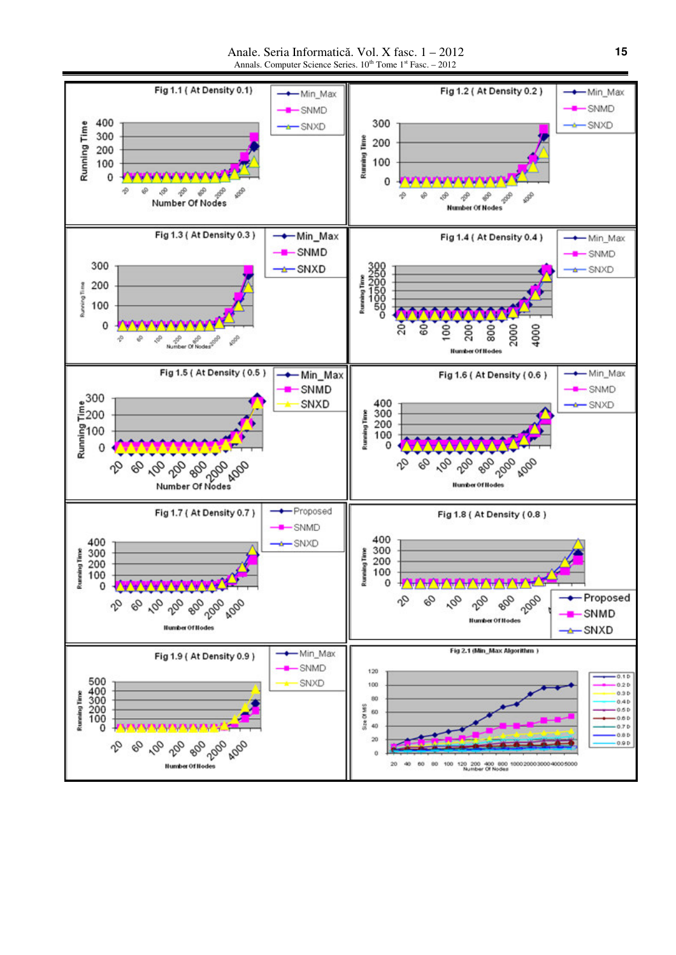Anale. Seria Informatică. Vol. X fasc. 1 - 2012 Annals. Computer Science Series. 10<sup>th</sup> Tome 1<sup>st</sup> Fasc. - 2012

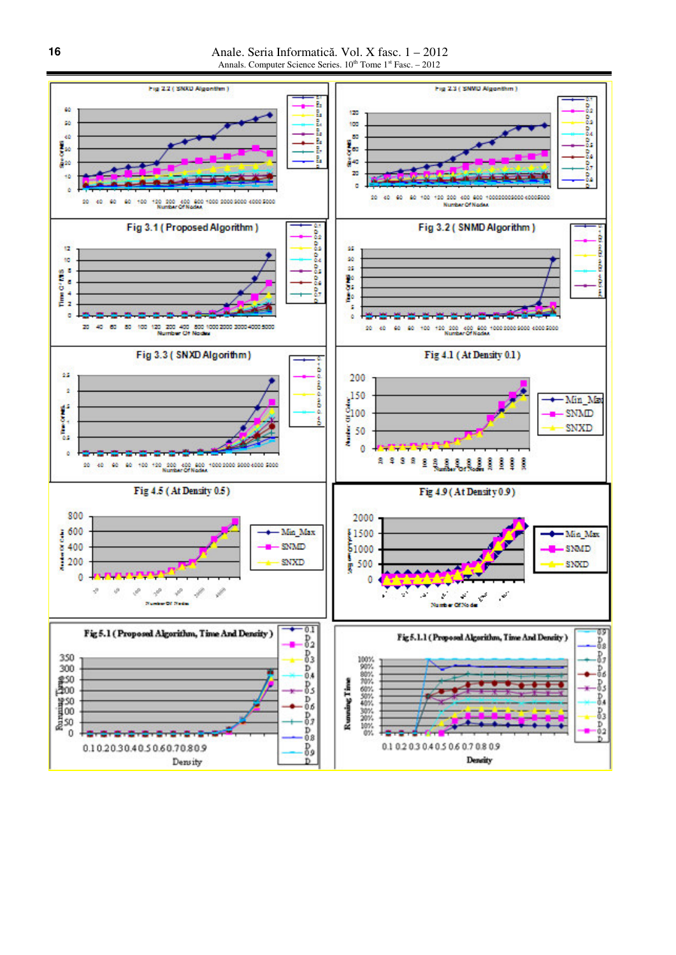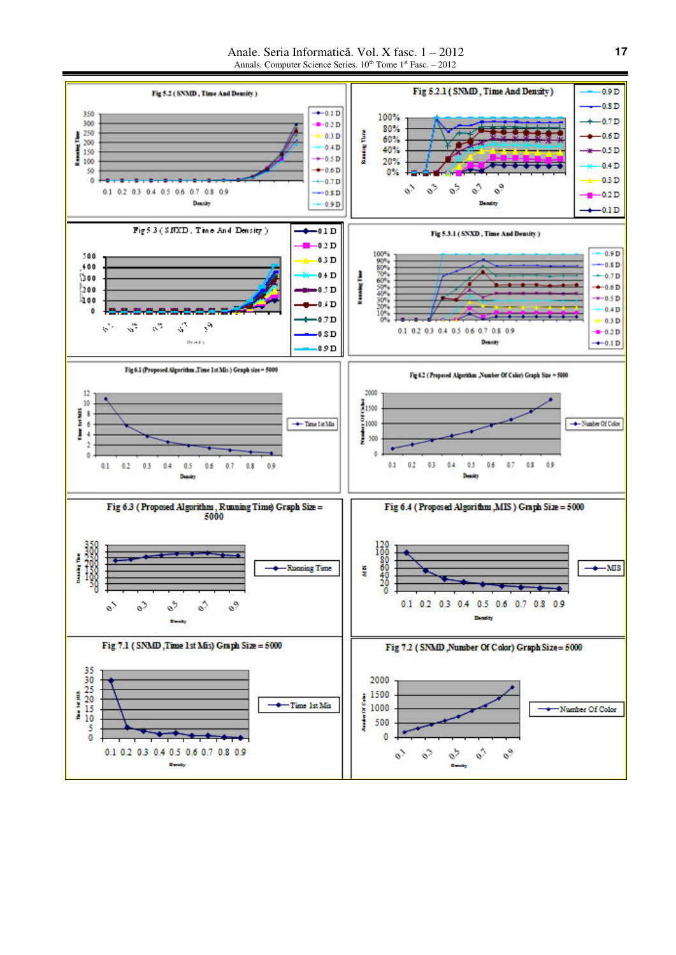Anale. Seria Informatică. Vol. X fasc. 1 - 2012 Annals. Computer Science Series. 10<sup>th</sup> Tome 1<sup>st</sup> Fasc. - 2012